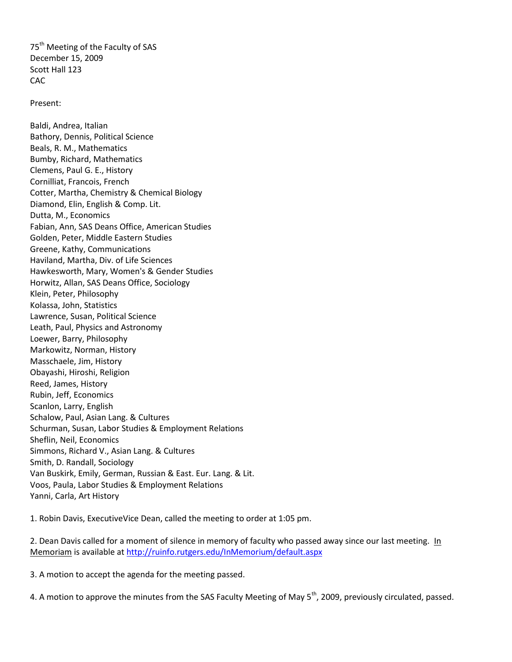75<sup>th</sup> Meeting of the Faculty of SAS December 15, 2009 Scott Hall 123 **CAC** 

Present:

Baldi, Andrea, Italian Bathory, Dennis, Political Science Beals, R. M., Mathematics Bumby, Richard, Mathematics Clemens, Paul G. E., History Cornilliat, Francois, French Cotter, Martha, Chemistry & Chemical Biology Diamond, Elin, English & Comp. Lit. Dutta, M., Economics Fabian, Ann, SAS Deans Office, American Studies Golden, Peter, Middle Eastern Studies Greene, Kathy, Communications Haviland, Martha, Div. of Life Sciences Hawkesworth, Mary, Women's & Gender Studies Horwitz, Allan, SAS Deans Office, Sociology Klein, Peter, Philosophy Kolassa, John, Statistics Lawrence, Susan, Political Science Leath, Paul, Physics and Astronomy Loewer, Barry, Philosophy Markowitz, Norman, History Masschaele, Jim, History Obayashi, Hiroshi, Religion Reed, James, History Rubin, Jeff, Economics Scanlon, Larry, English Schalow, Paul, Asian Lang. & Cultures Schurman, Susan, Labor Studies & Employment Relations Sheflin, Neil, Economics Simmons, Richard V., Asian Lang. & Cultures Smith, D. Randall, Sociology Van Buskirk, Emily, German, Russian & East. Eur. Lang. & Lit. Voos, Paula, Labor Studies & Employment Relations Yanni, Carla, Art History

1. Robin Davis, ExecutiveVice Dean, called the meeting to order at 1:05 pm.

2. Dean Davis called for a moment of silence in memory of faculty who passed away since our last meeting. In Memoriam is available at<http://ruinfo.rutgers.edu/InMemorium/default.aspx>

3. A motion to accept the agenda for the meeting passed.

4. A motion to approve the minutes from the SAS Faculty Meeting of May 5<sup>th</sup>, 2009, previously circulated, passed.